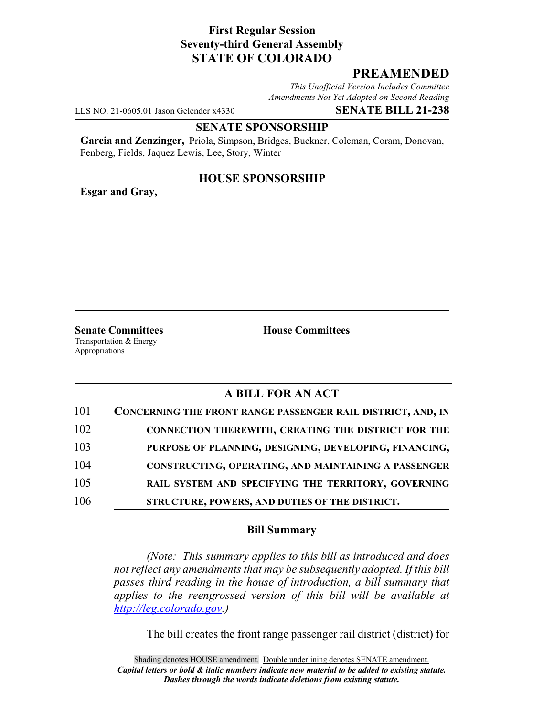## **First Regular Session Seventy-third General Assembly STATE OF COLORADO**

# **PREAMENDED**

*This Unofficial Version Includes Committee Amendments Not Yet Adopted on Second Reading*

LLS NO. 21-0605.01 Jason Gelender x4330 **SENATE BILL 21-238**

#### **SENATE SPONSORSHIP**

**Garcia and Zenzinger,** Priola, Simpson, Bridges, Buckner, Coleman, Coram, Donovan, Fenberg, Fields, Jaquez Lewis, Lee, Story, Winter

### **HOUSE SPONSORSHIP**

**Esgar and Gray,**

**Senate Committees House Committees** Transportation & Energy Appropriations

### **A BILL FOR AN ACT**

| 101 | CONCERNING THE FRONT RANGE PASSENGER RAIL DISTRICT, AND, IN |
|-----|-------------------------------------------------------------|
| 102 | <b>CONNECTION THEREWITH, CREATING THE DISTRICT FOR THE</b>  |
| 103 | PURPOSE OF PLANNING, DESIGNING, DEVELOPING, FINANCING,      |
| 104 | CONSTRUCTING, OPERATING, AND MAINTAINING A PASSENGER        |
| 105 | RAIL SYSTEM AND SPECIFYING THE TERRITORY, GOVERNING         |
| 106 | STRUCTURE, POWERS, AND DUTIES OF THE DISTRICT.              |

#### **Bill Summary**

*(Note: This summary applies to this bill as introduced and does not reflect any amendments that may be subsequently adopted. If this bill passes third reading in the house of introduction, a bill summary that applies to the reengrossed version of this bill will be available at http://leg.colorado.gov.)*

The bill creates the front range passenger rail district (district) for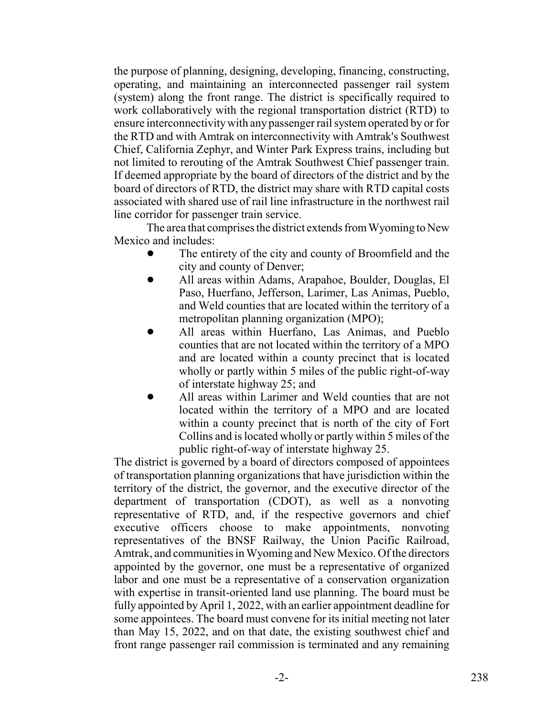the purpose of planning, designing, developing, financing, constructing, operating, and maintaining an interconnected passenger rail system (system) along the front range. The district is specifically required to work collaboratively with the regional transportation district (RTD) to ensure interconnectivity with any passenger rail system operated by or for the RTD and with Amtrak on interconnectivity with Amtrak's Southwest Chief, California Zephyr, and Winter Park Express trains, including but not limited to rerouting of the Amtrak Southwest Chief passenger train. If deemed appropriate by the board of directors of the district and by the board of directors of RTD, the district may share with RTD capital costs associated with shared use of rail line infrastructure in the northwest rail line corridor for passenger train service.

The area that comprises the district extends from Wyoming to New Mexico and includes:

- The entirety of the city and county of Broomfield and the city and county of Denver;
- ! All areas within Adams, Arapahoe, Boulder, Douglas, El Paso, Huerfano, Jefferson, Larimer, Las Animas, Pueblo, and Weld counties that are located within the territory of a metropolitan planning organization (MPO);
- ! All areas within Huerfano, Las Animas, and Pueblo counties that are not located within the territory of a MPO and are located within a county precinct that is located wholly or partly within 5 miles of the public right-of-way of interstate highway 25; and
- All areas within Larimer and Weld counties that are not located within the territory of a MPO and are located within a county precinct that is north of the city of Fort Collins and is located wholly or partly within 5 miles of the public right-of-way of interstate highway 25.

The district is governed by a board of directors composed of appointees of transportation planning organizations that have jurisdiction within the territory of the district, the governor, and the executive director of the department of transportation (CDOT), as well as a nonvoting representative of RTD, and, if the respective governors and chief executive officers choose to make appointments, nonvoting representatives of the BNSF Railway, the Union Pacific Railroad, Amtrak, and communities in Wyoming and New Mexico. Of the directors appointed by the governor, one must be a representative of organized labor and one must be a representative of a conservation organization with expertise in transit-oriented land use planning. The board must be fully appointed by April 1, 2022, with an earlier appointment deadline for some appointees. The board must convene for its initial meeting not later than May 15, 2022, and on that date, the existing southwest chief and front range passenger rail commission is terminated and any remaining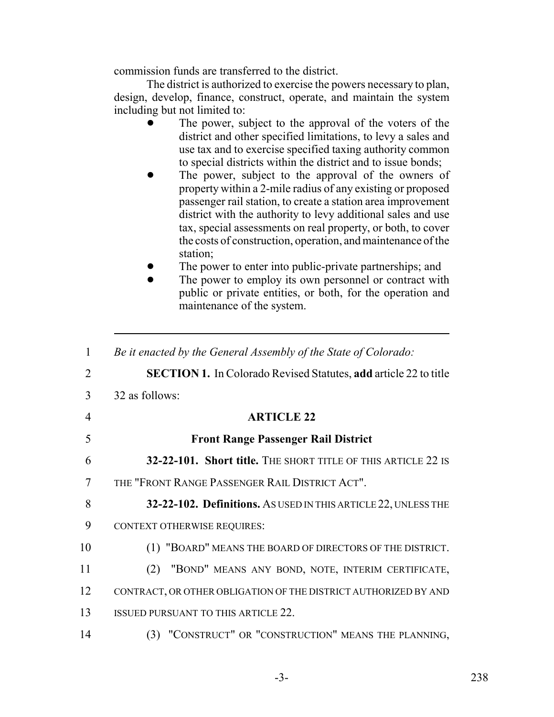commission funds are transferred to the district.

The district is authorized to exercise the powers necessary to plan, design, develop, finance, construct, operate, and maintain the system including but not limited to:

- The power, subject to the approval of the voters of the district and other specified limitations, to levy a sales and use tax and to exercise specified taxing authority common to special districts within the district and to issue bonds;
- The power, subject to the approval of the owners of property within a 2-mile radius of any existing or proposed passenger rail station, to create a station area improvement district with the authority to levy additional sales and use tax, special assessments on real property, or both, to cover the costs of construction, operation, and maintenance of the station;
- The power to enter into public-private partnerships; and
- The power to employ its own personnel or contract with public or private entities, or both, for the operation and maintenance of the system.

| $\mathbf{1}$   | Be it enacted by the General Assembly of the State of Colorado:         |
|----------------|-------------------------------------------------------------------------|
| $\overline{2}$ | <b>SECTION 1.</b> In Colorado Revised Statutes, add article 22 to title |
| 3              | 32 as follows:                                                          |
| 4              | <b>ARTICLE 22</b>                                                       |
| 5              | <b>Front Range Passenger Rail District</b>                              |
| 6              | 32-22-101. Short title. THE SHORT TITLE OF THIS ARTICLE 22 IS           |
| 7              | THE "FRONT RANGE PASSENGER RAIL DISTRICT ACT".                          |
| 8              | 32-22-102. Definitions. AS USED IN THIS ARTICLE 22, UNLESS THE          |
| 9              | <b>CONTEXT OTHERWISE REQUIRES:</b>                                      |
| 10             | (1) "BOARD" MEANS THE BOARD OF DIRECTORS OF THE DISTRICT.               |
| 11             | "BOND" MEANS ANY BOND, NOTE, INTERIM CERTIFICATE,<br>(2)                |
| 12             | CONTRACT, OR OTHER OBLIGATION OF THE DISTRICT AUTHORIZED BY AND         |
| 13             | <b>ISSUED PURSUANT TO THIS ARTICLE 22.</b>                              |
| 14             | (3) "CONSTRUCT" OR "CONSTRUCTION" MEANS THE PLANNING,                   |
|                |                                                                         |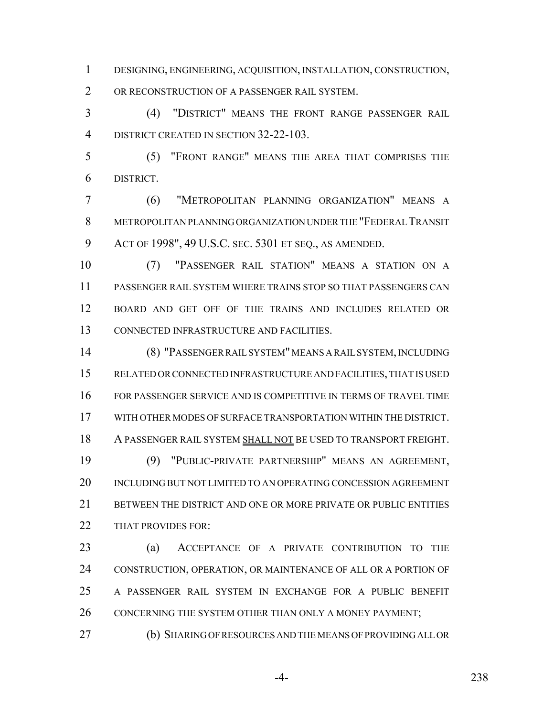DESIGNING, ENGINEERING, ACQUISITION, INSTALLATION, CONSTRUCTION, OR RECONSTRUCTION OF A PASSENGER RAIL SYSTEM.

 (4) "DISTRICT" MEANS THE FRONT RANGE PASSENGER RAIL 4 DISTRICT CREATED IN SECTION 32-22-103.

 (5) "FRONT RANGE" MEANS THE AREA THAT COMPRISES THE DISTRICT.

 (6) "METROPOLITAN PLANNING ORGANIZATION" MEANS A METROPOLITAN PLANNING ORGANIZATION UNDER THE "FEDERAL TRANSIT ACT OF 1998", 49 U.S.C. SEC. 5301 ET SEQ., AS AMENDED.

 (7) "PASSENGER RAIL STATION" MEANS A STATION ON A PASSENGER RAIL SYSTEM WHERE TRAINS STOP SO THAT PASSENGERS CAN BOARD AND GET OFF OF THE TRAINS AND INCLUDES RELATED OR CONNECTED INFRASTRUCTURE AND FACILITIES.

 (8) "PASSENGER RAIL SYSTEM" MEANS A RAIL SYSTEM, INCLUDING RELATED OR CONNECTED INFRASTRUCTURE AND FACILITIES, THAT IS USED FOR PASSENGER SERVICE AND IS COMPETITIVE IN TERMS OF TRAVEL TIME WITH OTHER MODES OF SURFACE TRANSPORTATION WITHIN THE DISTRICT. A PASSENGER RAIL SYSTEM SHALL NOT BE USED TO TRANSPORT FREIGHT. (9) "PUBLIC-PRIVATE PARTNERSHIP" MEANS AN AGREEMENT, INCLUDING BUT NOT LIMITED TO AN OPERATING CONCESSION AGREEMENT 21 BETWEEN THE DISTRICT AND ONE OR MORE PRIVATE OR PUBLIC ENTITIES 22 THAT PROVIDES FOR:

 (a) ACCEPTANCE OF A PRIVATE CONTRIBUTION TO THE CONSTRUCTION, OPERATION, OR MAINTENANCE OF ALL OR A PORTION OF A PASSENGER RAIL SYSTEM IN EXCHANGE FOR A PUBLIC BENEFIT 26 CONCERNING THE SYSTEM OTHER THAN ONLY A MONEY PAYMENT;

(b) SHARING OF RESOURCES AND THE MEANS OF PROVIDING ALL OR

-4- 238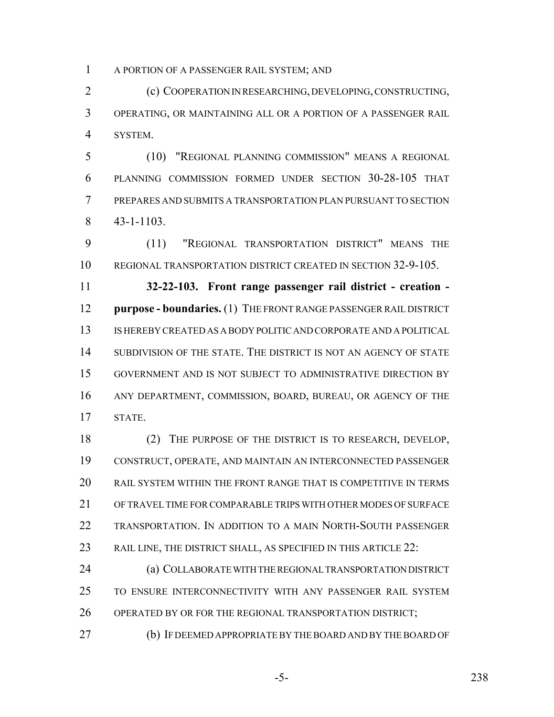A PORTION OF A PASSENGER RAIL SYSTEM; AND

 (c) COOPERATION IN RESEARCHING, DEVELOPING, CONSTRUCTING, OPERATING, OR MAINTAINING ALL OR A PORTION OF A PASSENGER RAIL SYSTEM.

 (10) "REGIONAL PLANNING COMMISSION" MEANS A REGIONAL PLANNING COMMISSION FORMED UNDER SECTION 30-28-105 THAT PREPARES AND SUBMITS A TRANSPORTATION PLAN PURSUANT TO SECTION 43-1-1103.

 (11) "REGIONAL TRANSPORTATION DISTRICT" MEANS THE REGIONAL TRANSPORTATION DISTRICT CREATED IN SECTION 32-9-105.

 **32-22-103. Front range passenger rail district - creation - purpose - boundaries.** (1) THE FRONT RANGE PASSENGER RAIL DISTRICT IS HEREBY CREATED AS A BODY POLITIC AND CORPORATE AND A POLITICAL SUBDIVISION OF THE STATE. THE DISTRICT IS NOT AN AGENCY OF STATE GOVERNMENT AND IS NOT SUBJECT TO ADMINISTRATIVE DIRECTION BY ANY DEPARTMENT, COMMISSION, BOARD, BUREAU, OR AGENCY OF THE STATE.

 (2) THE PURPOSE OF THE DISTRICT IS TO RESEARCH, DEVELOP, CONSTRUCT, OPERATE, AND MAINTAIN AN INTERCONNECTED PASSENGER RAIL SYSTEM WITHIN THE FRONT RANGE THAT IS COMPETITIVE IN TERMS OF TRAVEL TIME FOR COMPARABLE TRIPS WITH OTHER MODES OF SURFACE TRANSPORTATION. IN ADDITION TO A MAIN NORTH-SOUTH PASSENGER RAIL LINE, THE DISTRICT SHALL, AS SPECIFIED IN THIS ARTICLE 22:

 (a) COLLABORATE WITH THE REGIONAL TRANSPORTATION DISTRICT TO ENSURE INTERCONNECTIVITY WITH ANY PASSENGER RAIL SYSTEM 26 OPERATED BY OR FOR THE REGIONAL TRANSPORTATION DISTRICT;

(b) IF DEEMED APPROPRIATE BY THE BOARD AND BY THE BOARD OF

-5- 238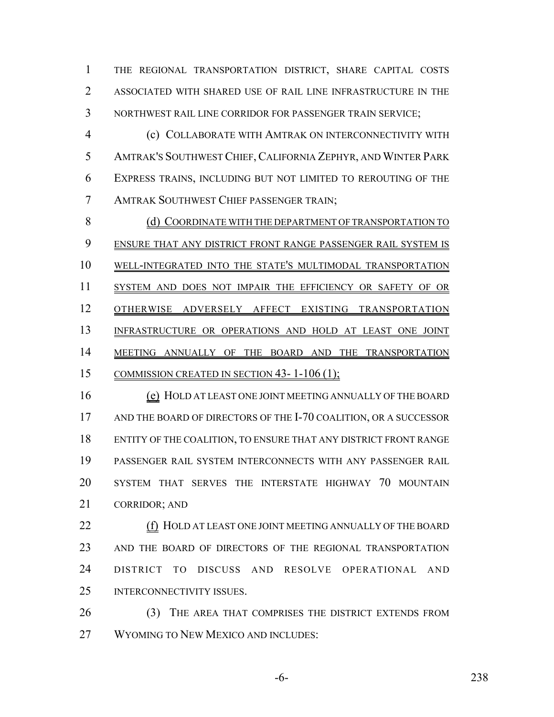THE REGIONAL TRANSPORTATION DISTRICT, SHARE CAPITAL COSTS ASSOCIATED WITH SHARED USE OF RAIL LINE INFRASTRUCTURE IN THE NORTHWEST RAIL LINE CORRIDOR FOR PASSENGER TRAIN SERVICE;

 (c) COLLABORATE WITH AMTRAK ON INTERCONNECTIVITY WITH AMTRAK'S SOUTHWEST CHIEF,CALIFORNIA ZEPHYR, AND WINTER PARK EXPRESS TRAINS, INCLUDING BUT NOT LIMITED TO REROUTING OF THE AMTRAK SOUTHWEST CHIEF PASSENGER TRAIN;

8 (d) COORDINATE WITH THE DEPARTMENT OF TRANSPORTATION TO ENSURE THAT ANY DISTRICT FRONT RANGE PASSENGER RAIL SYSTEM IS WELL-INTEGRATED INTO THE STATE'S MULTIMODAL TRANSPORTATION SYSTEM AND DOES NOT IMPAIR THE EFFICIENCY OR SAFETY OF OR OTHERWISE ADVERSELY AFFECT EXISTING TRANSPORTATION INFRASTRUCTURE OR OPERATIONS AND HOLD AT LEAST ONE JOINT 14 MEETING ANNUALLY OF THE BOARD AND THE TRANSPORTATION 15 COMMISSION CREATED IN SECTION 43-1-106 (1);

16 (e) HOLD AT LEAST ONE JOINT MEETING ANNUALLY OF THE BOARD 17 AND THE BOARD OF DIRECTORS OF THE I-70 COALITION, OR A SUCCESSOR ENTITY OF THE COALITION, TO ENSURE THAT ANY DISTRICT FRONT RANGE PASSENGER RAIL SYSTEM INTERCONNECTS WITH ANY PASSENGER RAIL SYSTEM THAT SERVES THE INTERSTATE HIGHWAY 70 MOUNTAIN CORRIDOR; AND

 (f) HOLD AT LEAST ONE JOINT MEETING ANNUALLY OF THE BOARD AND THE BOARD OF DIRECTORS OF THE REGIONAL TRANSPORTATION DISTRICT TO DISCUSS AND RESOLVE OPERATIONAL AND INTERCONNECTIVITY ISSUES.

26 (3) THE AREA THAT COMPRISES THE DISTRICT EXTENDS FROM WYOMING TO NEW MEXICO AND INCLUDES: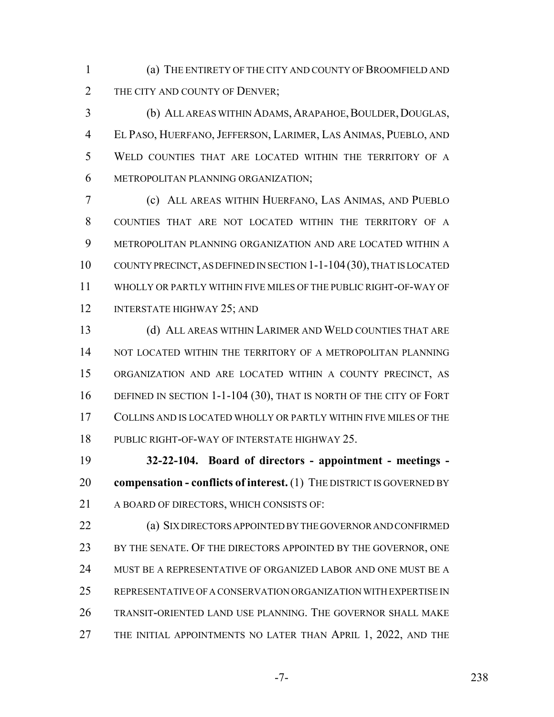(a) THE ENTIRETY OF THE CITY AND COUNTY OF BROOMFIELD AND 2 THE CITY AND COUNTY OF DENVER;

3 (b) ALL AREAS WITHIN ADAMS, ARAPAHOE, BOULDER, DOUGLAS, EL PASO, HUERFANO,JEFFERSON, LARIMER, LAS ANIMAS, PUEBLO, AND WELD COUNTIES THAT ARE LOCATED WITHIN THE TERRITORY OF A METROPOLITAN PLANNING ORGANIZATION;

 (c) ALL AREAS WITHIN HUERFANO, LAS ANIMAS, AND PUEBLO COUNTIES THAT ARE NOT LOCATED WITHIN THE TERRITORY OF A METROPOLITAN PLANNING ORGANIZATION AND ARE LOCATED WITHIN A COUNTY PRECINCT, AS DEFINED IN SECTION 1-1-104(30), THAT IS LOCATED WHOLLY OR PARTLY WITHIN FIVE MILES OF THE PUBLIC RIGHT-OF-WAY OF 12 INTERSTATE HIGHWAY 25; AND

 (d) ALL AREAS WITHIN LARIMER AND WELD COUNTIES THAT ARE 14 NOT LOCATED WITHIN THE TERRITORY OF A METROPOLITAN PLANNING ORGANIZATION AND ARE LOCATED WITHIN A COUNTY PRECINCT, AS 16 DEFINED IN SECTION 1-1-104 (30), THAT IS NORTH OF THE CITY OF FORT COLLINS AND IS LOCATED WHOLLY OR PARTLY WITHIN FIVE MILES OF THE PUBLIC RIGHT-OF-WAY OF INTERSTATE HIGHWAY 25.

 **32-22-104. Board of directors - appointment - meetings - compensation - conflicts of interest.** (1) THE DISTRICT IS GOVERNED BY 21 A BOARD OF DIRECTORS, WHICH CONSISTS OF:

 (a) SIX DIRECTORS APPOINTED BY THE GOVERNOR AND CONFIRMED 23 BY THE SENATE. OF THE DIRECTORS APPOINTED BY THE GOVERNOR, ONE MUST BE A REPRESENTATIVE OF ORGANIZED LABOR AND ONE MUST BE A REPRESENTATIVE OF A CONSERVATION ORGANIZATION WITH EXPERTISE IN TRANSIT-ORIENTED LAND USE PLANNING. THE GOVERNOR SHALL MAKE THE INITIAL APPOINTMENTS NO LATER THAN APRIL 1, 2022, AND THE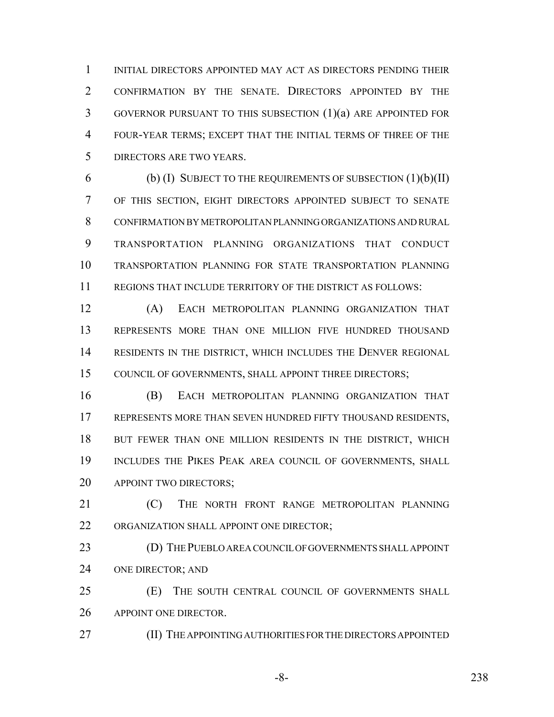INITIAL DIRECTORS APPOINTED MAY ACT AS DIRECTORS PENDING THEIR CONFIRMATION BY THE SENATE. DIRECTORS APPOINTED BY THE GOVERNOR PURSUANT TO THIS SUBSECTION (1)(a) ARE APPOINTED FOR FOUR-YEAR TERMS; EXCEPT THAT THE INITIAL TERMS OF THREE OF THE DIRECTORS ARE TWO YEARS.

 $(6)$  (b) (I) SUBJECT TO THE REQUIREMENTS OF SUBSECTION  $(1)(b)(II)$  OF THIS SECTION, EIGHT DIRECTORS APPOINTED SUBJECT TO SENATE CONFIRMATION BY METROPOLITAN PLANNING ORGANIZATIONS AND RURAL TRANSPORTATION PLANNING ORGANIZATIONS THAT CONDUCT TRANSPORTATION PLANNING FOR STATE TRANSPORTATION PLANNING REGIONS THAT INCLUDE TERRITORY OF THE DISTRICT AS FOLLOWS:

 (A) EACH METROPOLITAN PLANNING ORGANIZATION THAT REPRESENTS MORE THAN ONE MILLION FIVE HUNDRED THOUSAND RESIDENTS IN THE DISTRICT, WHICH INCLUDES THE DENVER REGIONAL 15 COUNCIL OF GOVERNMENTS, SHALL APPOINT THREE DIRECTORS;

 (B) EACH METROPOLITAN PLANNING ORGANIZATION THAT REPRESENTS MORE THAN SEVEN HUNDRED FIFTY THOUSAND RESIDENTS, 18 BUT FEWER THAN ONE MILLION RESIDENTS IN THE DISTRICT, WHICH 19 INCLUDES THE PIKES PEAK AREA COUNCIL OF GOVERNMENTS, SHALL 20 APPOINT TWO DIRECTORS;

**(C)** THE NORTH FRONT RANGE METROPOLITAN PLANNING 22 ORGANIZATION SHALL APPOINT ONE DIRECTOR;

 (D) THE PUEBLO AREA COUNCIL OF GOVERNMENTS SHALL APPOINT ONE DIRECTOR; AND

 (E) THE SOUTH CENTRAL COUNCIL OF GOVERNMENTS SHALL 26 APPOINT ONE DIRECTOR.

**(II) THE APPOINTING AUTHORITIES FOR THE DIRECTORS APPOINTED** 

-8- 238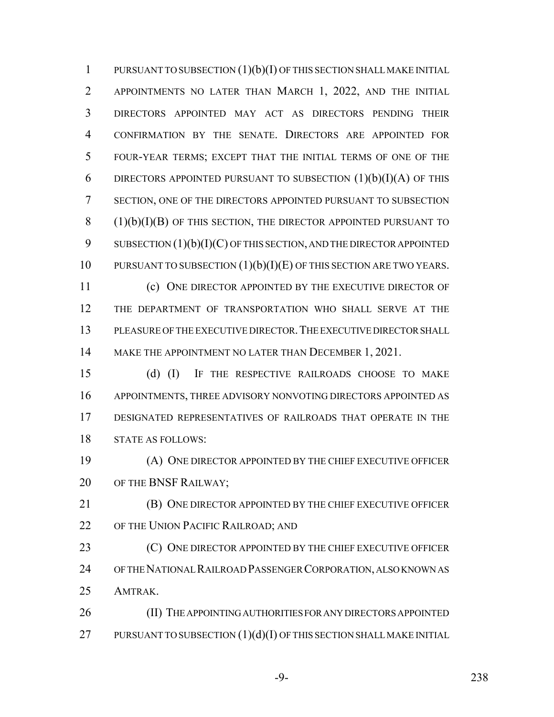PURSUANT TO SUBSECTION (1)(b)(I) OF THIS SECTION SHALL MAKE INITIAL APPOINTMENTS NO LATER THAN MARCH 1, 2022, AND THE INITIAL DIRECTORS APPOINTED MAY ACT AS DIRECTORS PENDING THEIR CONFIRMATION BY THE SENATE. DIRECTORS ARE APPOINTED FOR FOUR-YEAR TERMS; EXCEPT THAT THE INITIAL TERMS OF ONE OF THE 6 DIRECTORS APPOINTED PURSUANT TO SUBSECTION  $(1)(b)(I)(A)$  OF THIS SECTION, ONE OF THE DIRECTORS APPOINTED PURSUANT TO SUBSECTION (1)(b)(I)(B) OF THIS SECTION, THE DIRECTOR APPOINTED PURSUANT TO 9 SUBSECTION  $(1)(b)(I)(C)$  OF THIS SECTION, AND THE DIRECTOR APPOINTED 10 PURSUANT TO SUBSECTION  $(1)(b)(I)(E)$  of this section are two Years.

 (c) ONE DIRECTOR APPOINTED BY THE EXECUTIVE DIRECTOR OF THE DEPARTMENT OF TRANSPORTATION WHO SHALL SERVE AT THE PLEASURE OF THE EXECUTIVE DIRECTOR.THE EXECUTIVE DIRECTOR SHALL 14 MAKE THE APPOINTMENT NO LATER THAN DECEMBER 1, 2021.

 (d) (I) IF THE RESPECTIVE RAILROADS CHOOSE TO MAKE APPOINTMENTS, THREE ADVISORY NONVOTING DIRECTORS APPOINTED AS DESIGNATED REPRESENTATIVES OF RAILROADS THAT OPERATE IN THE STATE AS FOLLOWS:

 (A) ONE DIRECTOR APPOINTED BY THE CHIEF EXECUTIVE OFFICER 20 OF THE BNSF RAILWAY;

 (B) ONE DIRECTOR APPOINTED BY THE CHIEF EXECUTIVE OFFICER 22 OF THE UNION PACIFIC RAILROAD; AND

**(C)** ONE DIRECTOR APPOINTED BY THE CHIEF EXECUTIVE OFFICER OF THE NATIONAL RAILROAD PASSENGER CORPORATION, ALSO KNOWN AS AMTRAK.

26 (II) THE APPOINTING AUTHORITIES FOR ANY DIRECTORS APPOINTED 27 PURSUANT TO SUBSECTION  $(1)(d)(I)$  OF THIS SECTION SHALL MAKE INITIAL

-9- 238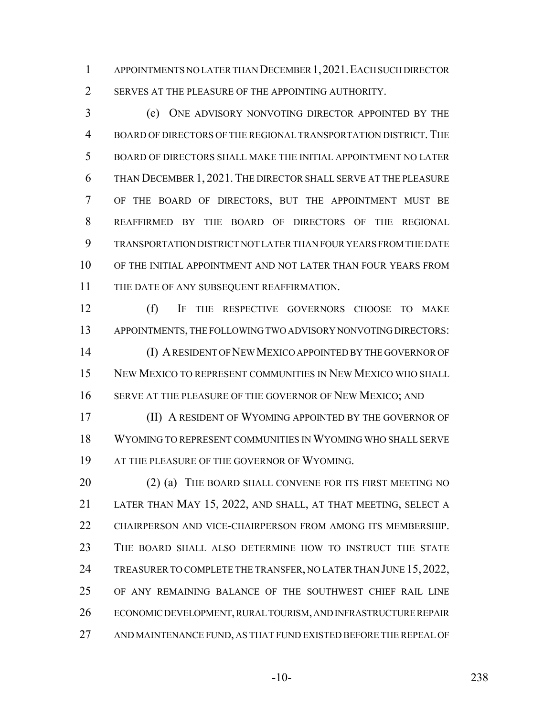APPOINTMENTS NO LATER THAN DECEMBER 1,2021.EACH SUCH DIRECTOR 2 SERVES AT THE PLEASURE OF THE APPOINTING AUTHORITY.

 (e) ONE ADVISORY NONVOTING DIRECTOR APPOINTED BY THE 4 BOARD OF DIRECTORS OF THE REGIONAL TRANSPORTATION DISTRICT. THE BOARD OF DIRECTORS SHALL MAKE THE INITIAL APPOINTMENT NO LATER THAN DECEMBER 1, 2021. THE DIRECTOR SHALL SERVE AT THE PLEASURE OF THE BOARD OF DIRECTORS, BUT THE APPOINTMENT MUST BE REAFFIRMED BY THE BOARD OF DIRECTORS OF THE REGIONAL TRANSPORTATION DISTRICT NOT LATER THAN FOUR YEARS FROM THE DATE 10 OF THE INITIAL APPOINTMENT AND NOT LATER THAN FOUR YEARS FROM THE DATE OF ANY SUBSEQUENT REAFFIRMATION.

 (f) IF THE RESPECTIVE GOVERNORS CHOOSE TO MAKE APPOINTMENTS, THE FOLLOWING TWO ADVISORY NONVOTING DIRECTORS: (I) A RESIDENT OF NEW MEXICO APPOINTED BY THE GOVERNOR OF NEW MEXICO TO REPRESENT COMMUNITIES IN NEW MEXICO WHO SHALL

16 SERVE AT THE PLEASURE OF THE GOVERNOR OF NEW MEXICO; AND

 (II) A RESIDENT OF WYOMING APPOINTED BY THE GOVERNOR OF WYOMING TO REPRESENT COMMUNITIES IN WYOMING WHO SHALL SERVE 19 AT THE PLEASURE OF THE GOVERNOR OF WYOMING.

20 (2) (a) THE BOARD SHALL CONVENE FOR ITS FIRST MEETING NO LATER THAN MAY 15, 2022, AND SHALL, AT THAT MEETING, SELECT A CHAIRPERSON AND VICE-CHAIRPERSON FROM AMONG ITS MEMBERSHIP. THE BOARD SHALL ALSO DETERMINE HOW TO INSTRUCT THE STATE 24 TREASURER TO COMPLETE THE TRANSFER, NO LATER THAN JUNE 15, 2022, OF ANY REMAINING BALANCE OF THE SOUTHWEST CHIEF RAIL LINE ECONOMIC DEVELOPMENT, RURAL TOURISM, AND INFRASTRUCTURE REPAIR AND MAINTENANCE FUND, AS THAT FUND EXISTED BEFORE THE REPEAL OF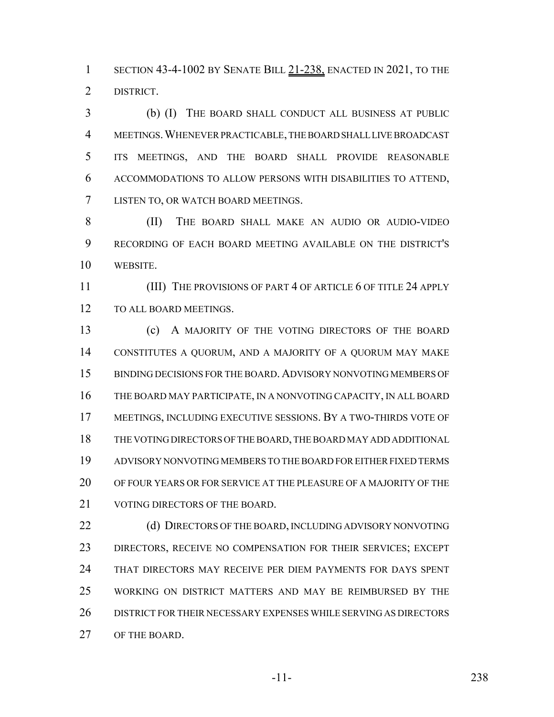1 SECTION 43-4-1002 BY SENATE BILL 21-238, ENACTED IN 2021, TO THE DISTRICT.

 (b) (I) THE BOARD SHALL CONDUCT ALL BUSINESS AT PUBLIC MEETINGS.WHENEVER PRACTICABLE, THE BOARD SHALL LIVE BROADCAST ITS MEETINGS, AND THE BOARD SHALL PROVIDE REASONABLE ACCOMMODATIONS TO ALLOW PERSONS WITH DISABILITIES TO ATTEND, LISTEN TO, OR WATCH BOARD MEETINGS.

 (II) THE BOARD SHALL MAKE AN AUDIO OR AUDIO-VIDEO RECORDING OF EACH BOARD MEETING AVAILABLE ON THE DISTRICT'S WEBSITE.

11 (III) THE PROVISIONS OF PART 4 OF ARTICLE 6 OF TITLE 24 APPLY 12 TO ALL BOARD MEETINGS.

 (c) A MAJORITY OF THE VOTING DIRECTORS OF THE BOARD CONSTITUTES A QUORUM, AND A MAJORITY OF A QUORUM MAY MAKE 15 BINDING DECISIONS FOR THE BOARD. ADVISORY NONVOTING MEMBERS OF THE BOARD MAY PARTICIPATE, IN A NONVOTING CAPACITY, IN ALL BOARD MEETINGS, INCLUDING EXECUTIVE SESSIONS. BY A TWO-THIRDS VOTE OF THE VOTING DIRECTORS OF THE BOARD, THE BOARD MAY ADD ADDITIONAL ADVISORY NONVOTING MEMBERS TO THE BOARD FOR EITHER FIXED TERMS OF FOUR YEARS OR FOR SERVICE AT THE PLEASURE OF A MAJORITY OF THE 21 VOTING DIRECTORS OF THE BOARD.

22 (d) DIRECTORS OF THE BOARD, INCLUDING ADVISORY NONVOTING DIRECTORS, RECEIVE NO COMPENSATION FOR THEIR SERVICES; EXCEPT THAT DIRECTORS MAY RECEIVE PER DIEM PAYMENTS FOR DAYS SPENT WORKING ON DISTRICT MATTERS AND MAY BE REIMBURSED BY THE DISTRICT FOR THEIR NECESSARY EXPENSES WHILE SERVING AS DIRECTORS OF THE BOARD.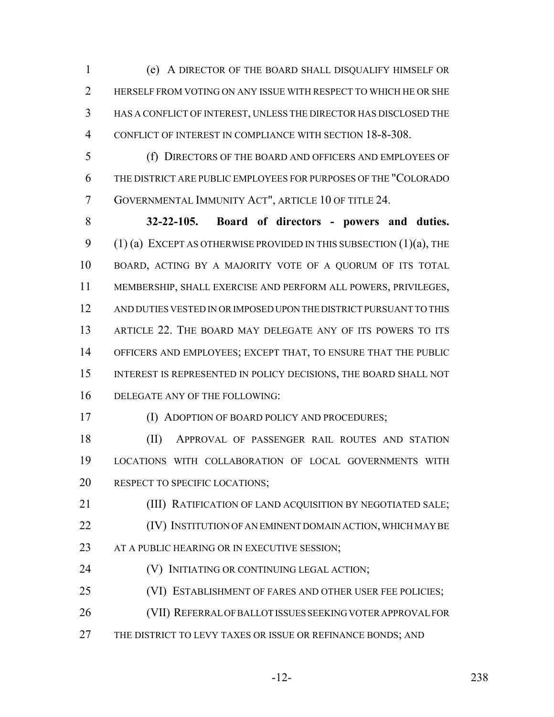(e) A DIRECTOR OF THE BOARD SHALL DISQUALIFY HIMSELF OR 2 HERSELF FROM VOTING ON ANY ISSUE WITH RESPECT TO WHICH HE OR SHE HAS A CONFLICT OF INTEREST, UNLESS THE DIRECTOR HAS DISCLOSED THE CONFLICT OF INTEREST IN COMPLIANCE WITH SECTION 18-8-308.

 (f) DIRECTORS OF THE BOARD AND OFFICERS AND EMPLOYEES OF THE DISTRICT ARE PUBLIC EMPLOYEES FOR PURPOSES OF THE "COLORADO GOVERNMENTAL IMMUNITY ACT", ARTICLE 10 OF TITLE 24.

 **32-22-105. Board of directors - powers and duties.** 9 (1) (a) EXCEPT AS OTHERWISE PROVIDED IN THIS SUBSECTION  $(1)(a)$ , THE BOARD, ACTING BY A MAJORITY VOTE OF A QUORUM OF ITS TOTAL MEMBERSHIP, SHALL EXERCISE AND PERFORM ALL POWERS, PRIVILEGES, AND DUTIES VESTED IN OR IMPOSED UPON THE DISTRICT PURSUANT TO THIS ARTICLE 22. THE BOARD MAY DELEGATE ANY OF ITS POWERS TO ITS OFFICERS AND EMPLOYEES; EXCEPT THAT, TO ENSURE THAT THE PUBLIC INTEREST IS REPRESENTED IN POLICY DECISIONS, THE BOARD SHALL NOT 16 DELEGATE ANY OF THE FOLLOWING:

(I) ADOPTION OF BOARD POLICY AND PROCEDURES;

 (II) APPROVAL OF PASSENGER RAIL ROUTES AND STATION LOCATIONS WITH COLLABORATION OF LOCAL GOVERNMENTS WITH 20 RESPECT TO SPECIFIC LOCATIONS;

**(III) RATIFICATION OF LAND ACQUISITION BY NEGOTIATED SALE;**  (IV) INSTITUTION OF AN EMINENT DOMAIN ACTION, WHICH MAY BE 23 AT A PUBLIC HEARING OR IN EXECUTIVE SESSION;

- **(V) INITIATING OR CONTINUING LEGAL ACTION;**
- (VI) ESTABLISHMENT OF FARES AND OTHER USER FEE POLICIES;
- (VII) REFERRAL OF BALLOT ISSUES SEEKING VOTER APPROVAL FOR
- 27 THE DISTRICT TO LEVY TAXES OR ISSUE OR REFINANCE BONDS; AND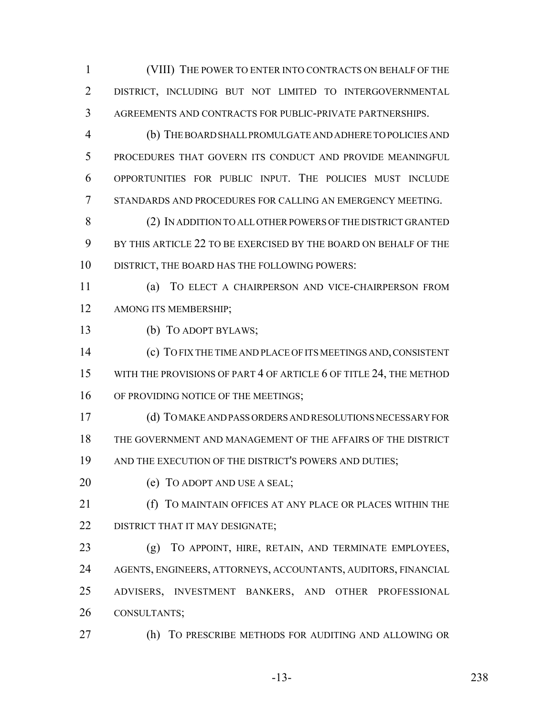(VIII) THE POWER TO ENTER INTO CONTRACTS ON BEHALF OF THE DISTRICT, INCLUDING BUT NOT LIMITED TO INTERGOVERNMENTAL AGREEMENTS AND CONTRACTS FOR PUBLIC-PRIVATE PARTNERSHIPS.

 (b) THE BOARD SHALL PROMULGATE AND ADHERE TO POLICIES AND PROCEDURES THAT GOVERN ITS CONDUCT AND PROVIDE MEANINGFUL OPPORTUNITIES FOR PUBLIC INPUT. THE POLICIES MUST INCLUDE STANDARDS AND PROCEDURES FOR CALLING AN EMERGENCY MEETING.

 (2) IN ADDITION TO ALL OTHER POWERS OF THE DISTRICT GRANTED BY THIS ARTICLE 22 TO BE EXERCISED BY THE BOARD ON BEHALF OF THE DISTRICT, THE BOARD HAS THE FOLLOWING POWERS:

 (a) TO ELECT A CHAIRPERSON AND VICE-CHAIRPERSON FROM AMONG ITS MEMBERSHIP;

(b) TO ADOPT BYLAWS;

 (c) TO FIX THE TIME AND PLACE OF ITS MEETINGS AND, CONSISTENT 15 WITH THE PROVISIONS OF PART 4 OF ARTICLE 6 OF TITLE 24, THE METHOD 16 OF PROVIDING NOTICE OF THE MEETINGS;

 (d) TO MAKE AND PASS ORDERS AND RESOLUTIONS NECESSARY FOR THE GOVERNMENT AND MANAGEMENT OF THE AFFAIRS OF THE DISTRICT AND THE EXECUTION OF THE DISTRICT'S POWERS AND DUTIES;

20 (e) TO ADOPT AND USE A SEAL;

 (f) TO MAINTAIN OFFICES AT ANY PLACE OR PLACES WITHIN THE 22 DISTRICT THAT IT MAY DESIGNATE;

 (g) TO APPOINT, HIRE, RETAIN, AND TERMINATE EMPLOYEES, AGENTS, ENGINEERS, ATTORNEYS, ACCOUNTANTS, AUDITORS, FINANCIAL ADVISERS, INVESTMENT BANKERS, AND OTHER PROFESSIONAL CONSULTANTS;

(h) TO PRESCRIBE METHODS FOR AUDITING AND ALLOWING OR

-13- 238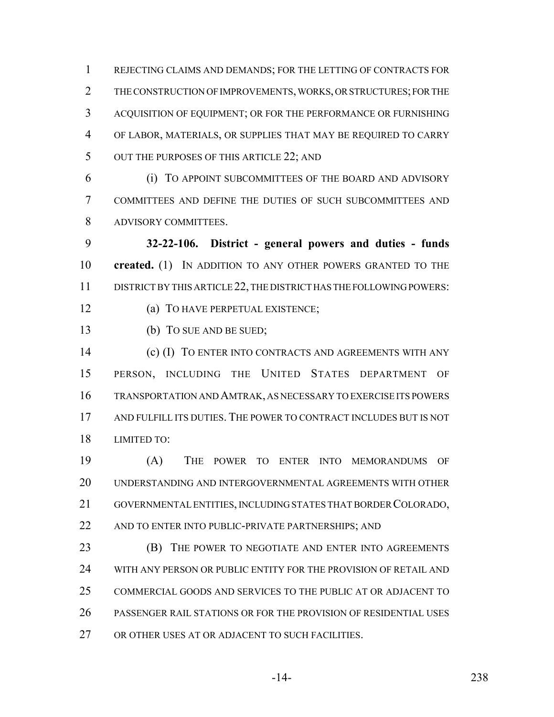REJECTING CLAIMS AND DEMANDS; FOR THE LETTING OF CONTRACTS FOR THE CONSTRUCTION OF IMPROVEMENTS, WORKS, OR STRUCTURES; FOR THE ACQUISITION OF EQUIPMENT; OR FOR THE PERFORMANCE OR FURNISHING OF LABOR, MATERIALS, OR SUPPLIES THAT MAY BE REQUIRED TO CARRY 5 OUT THE PURPOSES OF THIS ARTICLE 22; AND

 (i) TO APPOINT SUBCOMMITTEES OF THE BOARD AND ADVISORY COMMITTEES AND DEFINE THE DUTIES OF SUCH SUBCOMMITTEES AND ADVISORY COMMITTEES.

 **32-22-106. District - general powers and duties - funds created.** (1) IN ADDITION TO ANY OTHER POWERS GRANTED TO THE DISTRICT BY THIS ARTICLE 22, THE DISTRICT HAS THE FOLLOWING POWERS:

(a) TO HAVE PERPETUAL EXISTENCE;

(b) TO SUE AND BE SUED;

**(c) (I) TO ENTER INTO CONTRACTS AND AGREEMENTS WITH ANY**  PERSON, INCLUDING THE UNITED STATES DEPARTMENT OF TRANSPORTATION AND AMTRAK, AS NECESSARY TO EXERCISE ITS POWERS AND FULFILL ITS DUTIES. THE POWER TO CONTRACT INCLUDES BUT IS NOT LIMITED TO:

 (A) THE POWER TO ENTER INTO MEMORANDUMS OF UNDERSTANDING AND INTERGOVERNMENTAL AGREEMENTS WITH OTHER GOVERNMENTAL ENTITIES, INCLUDING STATES THAT BORDER COLORADO, 22 AND TO ENTER INTO PUBLIC-PRIVATE PARTNERSHIPS; AND

**(B)** THE POWER TO NEGOTIATE AND ENTER INTO AGREEMENTS WITH ANY PERSON OR PUBLIC ENTITY FOR THE PROVISION OF RETAIL AND COMMERCIAL GOODS AND SERVICES TO THE PUBLIC AT OR ADJACENT TO PASSENGER RAIL STATIONS OR FOR THE PROVISION OF RESIDENTIAL USES OR OTHER USES AT OR ADJACENT TO SUCH FACILITIES.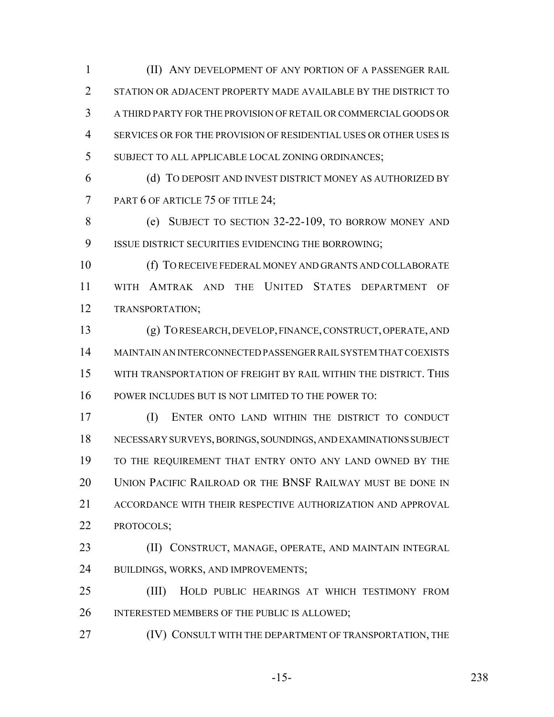(II) ANY DEVELOPMENT OF ANY PORTION OF A PASSENGER RAIL STATION OR ADJACENT PROPERTY MADE AVAILABLE BY THE DISTRICT TO A THIRD PARTY FOR THE PROVISION OF RETAIL OR COMMERCIAL GOODS OR SERVICES OR FOR THE PROVISION OF RESIDENTIAL USES OR OTHER USES IS SUBJECT TO ALL APPLICABLE LOCAL ZONING ORDINANCES;

 (d) TO DEPOSIT AND INVEST DISTRICT MONEY AS AUTHORIZED BY 7 PART 6 OF ARTICLE 75 OF TITLE 24;

 (e) SUBJECT TO SECTION 32-22-109, TO BORROW MONEY AND ISSUE DISTRICT SECURITIES EVIDENCING THE BORROWING;

 (f) TO RECEIVE FEDERAL MONEY AND GRANTS AND COLLABORATE WITH AMTRAK AND THE UNITED STATES DEPARTMENT OF TRANSPORTATION;

 (g) TO RESEARCH, DEVELOP, FINANCE, CONSTRUCT, OPERATE, AND MAINTAIN AN INTERCONNECTED PASSENGER RAIL SYSTEM THAT COEXISTS WITH TRANSPORTATION OF FREIGHT BY RAIL WITHIN THE DISTRICT. THIS POWER INCLUDES BUT IS NOT LIMITED TO THE POWER TO:

 (I) ENTER ONTO LAND WITHIN THE DISTRICT TO CONDUCT NECESSARY SURVEYS, BORINGS, SOUNDINGS, AND EXAMINATIONS SUBJECT TO THE REQUIREMENT THAT ENTRY ONTO ANY LAND OWNED BY THE UNION PACIFIC RAILROAD OR THE BNSF RAILWAY MUST BE DONE IN 21 ACCORDANCE WITH THEIR RESPECTIVE AUTHORIZATION AND APPROVAL PROTOCOLS;

 (II) CONSTRUCT, MANAGE, OPERATE, AND MAINTAIN INTEGRAL BUILDINGS, WORKS, AND IMPROVEMENTS;

 (III) HOLD PUBLIC HEARINGS AT WHICH TESTIMONY FROM INTERESTED MEMBERS OF THE PUBLIC IS ALLOWED;

**(IV) CONSULT WITH THE DEPARTMENT OF TRANSPORTATION, THE** 

-15- 238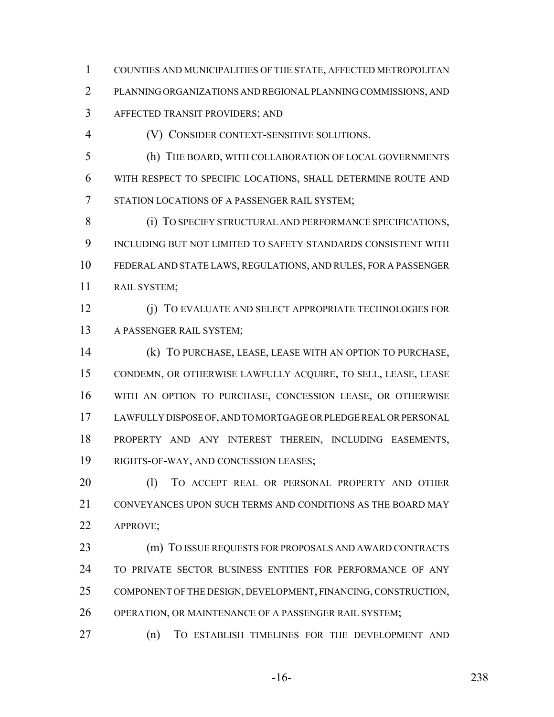COUNTIES AND MUNICIPALITIES OF THE STATE, AFFECTED METROPOLITAN PLANNING ORGANIZATIONS AND REGIONAL PLANNING COMMISSIONS, AND AFFECTED TRANSIT PROVIDERS; AND

(V) CONSIDER CONTEXT-SENSITIVE SOLUTIONS.

 (h) THE BOARD, WITH COLLABORATION OF LOCAL GOVERNMENTS WITH RESPECT TO SPECIFIC LOCATIONS, SHALL DETERMINE ROUTE AND STATION LOCATIONS OF A PASSENGER RAIL SYSTEM;

8 (i) TO SPECIFY STRUCTURAL AND PERFORMANCE SPECIFICATIONS, INCLUDING BUT NOT LIMITED TO SAFETY STANDARDS CONSISTENT WITH FEDERAL AND STATE LAWS, REGULATIONS, AND RULES, FOR A PASSENGER RAIL SYSTEM;

 (j) TO EVALUATE AND SELECT APPROPRIATE TECHNOLOGIES FOR A PASSENGER RAIL SYSTEM;

 (k) TO PURCHASE, LEASE, LEASE WITH AN OPTION TO PURCHASE, CONDEMN, OR OTHERWISE LAWFULLY ACQUIRE, TO SELL, LEASE, LEASE WITH AN OPTION TO PURCHASE, CONCESSION LEASE, OR OTHERWISE LAWFULLY DISPOSE OF, AND TO MORTGAGE OR PLEDGE REAL OR PERSONAL PROPERTY AND ANY INTEREST THEREIN, INCLUDING EASEMENTS, RIGHTS-OF-WAY, AND CONCESSION LEASES;

20 (1) TO ACCEPT REAL OR PERSONAL PROPERTY AND OTHER CONVEYANCES UPON SUCH TERMS AND CONDITIONS AS THE BOARD MAY APPROVE;

 (m) TO ISSUE REQUESTS FOR PROPOSALS AND AWARD CONTRACTS TO PRIVATE SECTOR BUSINESS ENTITIES FOR PERFORMANCE OF ANY COMPONENT OF THE DESIGN, DEVELOPMENT, FINANCING, CONSTRUCTION, 26 OPERATION, OR MAINTENANCE OF A PASSENGER RAIL SYSTEM;

(n) TO ESTABLISH TIMELINES FOR THE DEVELOPMENT AND

-16- 238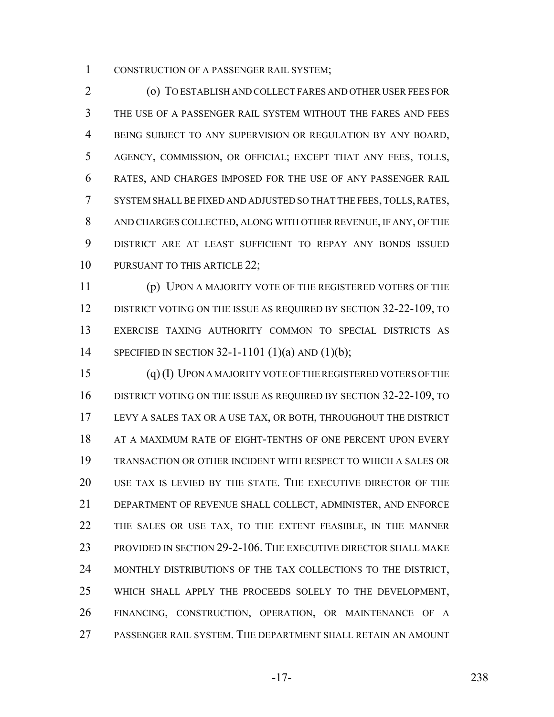CONSTRUCTION OF A PASSENGER RAIL SYSTEM;

 (o) TO ESTABLISH AND COLLECT FARES AND OTHER USER FEES FOR THE USE OF A PASSENGER RAIL SYSTEM WITHOUT THE FARES AND FEES BEING SUBJECT TO ANY SUPERVISION OR REGULATION BY ANY BOARD, AGENCY, COMMISSION, OR OFFICIAL; EXCEPT THAT ANY FEES, TOLLS, RATES, AND CHARGES IMPOSED FOR THE USE OF ANY PASSENGER RAIL SYSTEM SHALL BE FIXED AND ADJUSTED SO THAT THE FEES, TOLLS, RATES, AND CHARGES COLLECTED, ALONG WITH OTHER REVENUE, IF ANY, OF THE DISTRICT ARE AT LEAST SUFFICIENT TO REPAY ANY BONDS ISSUED 10 PURSUANT TO THIS ARTICLE 22;

 (p) UPON A MAJORITY VOTE OF THE REGISTERED VOTERS OF THE 12 DISTRICT VOTING ON THE ISSUE AS REQUIRED BY SECTION 32-22-109, TO EXERCISE TAXING AUTHORITY COMMON TO SPECIAL DISTRICTS AS SPECIFIED IN SECTION 32-1-1101 (1)(a) AND (1)(b);

 (q) (I) UPON A MAJORITY VOTE OF THE REGISTERED VOTERS OF THE DISTRICT VOTING ON THE ISSUE AS REQUIRED BY SECTION 32-22-109, TO LEVY A SALES TAX OR A USE TAX, OR BOTH, THROUGHOUT THE DISTRICT 18 AT A MAXIMUM RATE OF EIGHT-TENTHS OF ONE PERCENT UPON EVERY TRANSACTION OR OTHER INCIDENT WITH RESPECT TO WHICH A SALES OR USE TAX IS LEVIED BY THE STATE. THE EXECUTIVE DIRECTOR OF THE DEPARTMENT OF REVENUE SHALL COLLECT, ADMINISTER, AND ENFORCE THE SALES OR USE TAX, TO THE EXTENT FEASIBLE, IN THE MANNER PROVIDED IN SECTION 29-2-106. THE EXECUTIVE DIRECTOR SHALL MAKE MONTHLY DISTRIBUTIONS OF THE TAX COLLECTIONS TO THE DISTRICT, WHICH SHALL APPLY THE PROCEEDS SOLELY TO THE DEVELOPMENT, FINANCING, CONSTRUCTION, OPERATION, OR MAINTENANCE OF A PASSENGER RAIL SYSTEM. THE DEPARTMENT SHALL RETAIN AN AMOUNT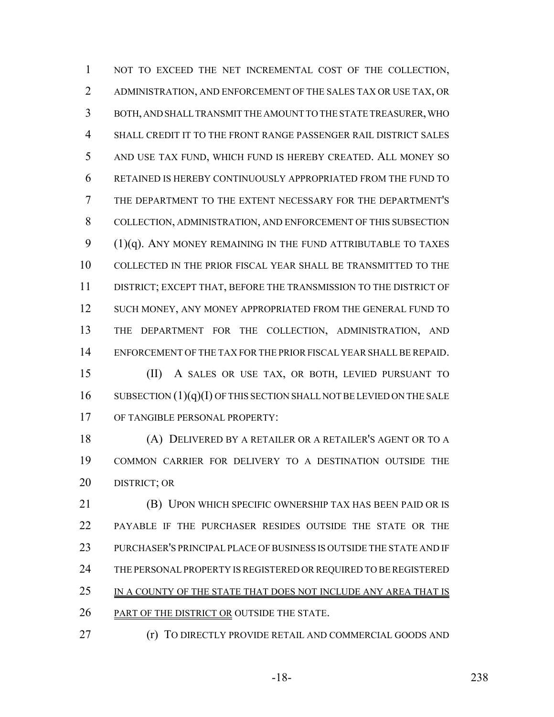NOT TO EXCEED THE NET INCREMENTAL COST OF THE COLLECTION, ADMINISTRATION, AND ENFORCEMENT OF THE SALES TAX OR USE TAX, OR BOTH, AND SHALL TRANSMIT THE AMOUNT TO THE STATE TREASURER, WHO SHALL CREDIT IT TO THE FRONT RANGE PASSENGER RAIL DISTRICT SALES AND USE TAX FUND, WHICH FUND IS HEREBY CREATED. ALL MONEY SO RETAINED IS HEREBY CONTINUOUSLY APPROPRIATED FROM THE FUND TO THE DEPARTMENT TO THE EXTENT NECESSARY FOR THE DEPARTMENT'S COLLECTION, ADMINISTRATION, AND ENFORCEMENT OF THIS SUBSECTION 9 (1)(q). ANY MONEY REMAINING IN THE FUND ATTRIBUTABLE TO TAXES COLLECTED IN THE PRIOR FISCAL YEAR SHALL BE TRANSMITTED TO THE DISTRICT; EXCEPT THAT, BEFORE THE TRANSMISSION TO THE DISTRICT OF 12 SUCH MONEY, ANY MONEY APPROPRIATED FROM THE GENERAL FUND TO THE DEPARTMENT FOR THE COLLECTION, ADMINISTRATION, AND ENFORCEMENT OF THE TAX FOR THE PRIOR FISCAL YEAR SHALL BE REPAID. (II) A SALES OR USE TAX, OR BOTH, LEVIED PURSUANT TO

16 SUBSECTION  $(1)(q)(I)$  OF THIS SECTION SHALL NOT BE LEVIED ON THE SALE OF TANGIBLE PERSONAL PROPERTY:

 (A) DELIVERED BY A RETAILER OR A RETAILER'S AGENT OR TO A COMMON CARRIER FOR DELIVERY TO A DESTINATION OUTSIDE THE DISTRICT; OR

 (B) UPON WHICH SPECIFIC OWNERSHIP TAX HAS BEEN PAID OR IS PAYABLE IF THE PURCHASER RESIDES OUTSIDE THE STATE OR THE PURCHASER'S PRINCIPAL PLACE OF BUSINESS IS OUTSIDE THE STATE AND IF THE PERSONAL PROPERTY IS REGISTERED OR REQUIRED TO BE REGISTERED IN A COUNTY OF THE STATE THAT DOES NOT INCLUDE ANY AREA THAT IS PART OF THE DISTRICT OR OUTSIDE THE STATE.

**(r)** TO DIRECTLY PROVIDE RETAIL AND COMMERCIAL GOODS AND

-18- 238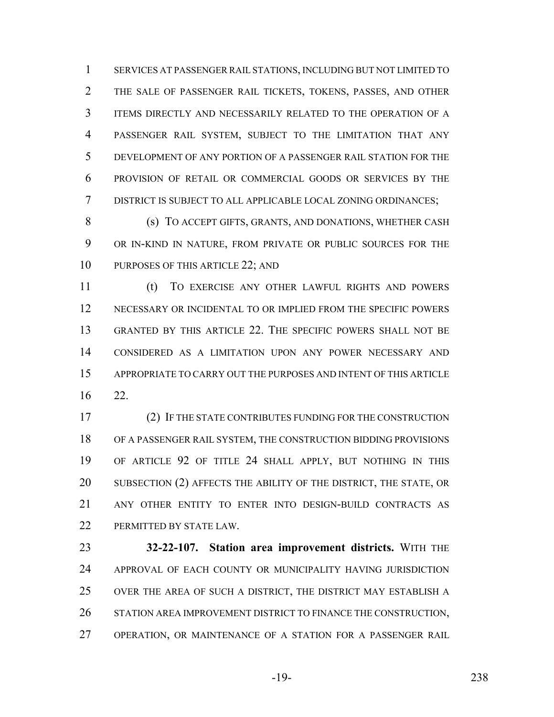SERVICES AT PASSENGER RAIL STATIONS, INCLUDING BUT NOT LIMITED TO THE SALE OF PASSENGER RAIL TICKETS, TOKENS, PASSES, AND OTHER ITEMS DIRECTLY AND NECESSARILY RELATED TO THE OPERATION OF A PASSENGER RAIL SYSTEM, SUBJECT TO THE LIMITATION THAT ANY DEVELOPMENT OF ANY PORTION OF A PASSENGER RAIL STATION FOR THE PROVISION OF RETAIL OR COMMERCIAL GOODS OR SERVICES BY THE DISTRICT IS SUBJECT TO ALL APPLICABLE LOCAL ZONING ORDINANCES;

8 (s) TO ACCEPT GIFTS, GRANTS, AND DONATIONS, WHETHER CASH OR IN-KIND IN NATURE, FROM PRIVATE OR PUBLIC SOURCES FOR THE 10 PURPOSES OF THIS ARTICLE 22; AND

 (t) TO EXERCISE ANY OTHER LAWFUL RIGHTS AND POWERS NECESSARY OR INCIDENTAL TO OR IMPLIED FROM THE SPECIFIC POWERS GRANTED BY THIS ARTICLE 22. THE SPECIFIC POWERS SHALL NOT BE CONSIDERED AS A LIMITATION UPON ANY POWER NECESSARY AND APPROPRIATE TO CARRY OUT THE PURPOSES AND INTENT OF THIS ARTICLE 22.

 (2) IF THE STATE CONTRIBUTES FUNDING FOR THE CONSTRUCTION OF A PASSENGER RAIL SYSTEM, THE CONSTRUCTION BIDDING PROVISIONS OF ARTICLE 92 OF TITLE 24 SHALL APPLY, BUT NOTHING IN THIS 20 SUBSECTION (2) AFFECTS THE ABILITY OF THE DISTRICT, THE STATE, OR ANY OTHER ENTITY TO ENTER INTO DESIGN-BUILD CONTRACTS AS 22 PERMITTED BY STATE LAW.

 **32-22-107. Station area improvement districts.** WITH THE APPROVAL OF EACH COUNTY OR MUNICIPALITY HAVING JURISDICTION OVER THE AREA OF SUCH A DISTRICT, THE DISTRICT MAY ESTABLISH A STATION AREA IMPROVEMENT DISTRICT TO FINANCE THE CONSTRUCTION, OPERATION, OR MAINTENANCE OF A STATION FOR A PASSENGER RAIL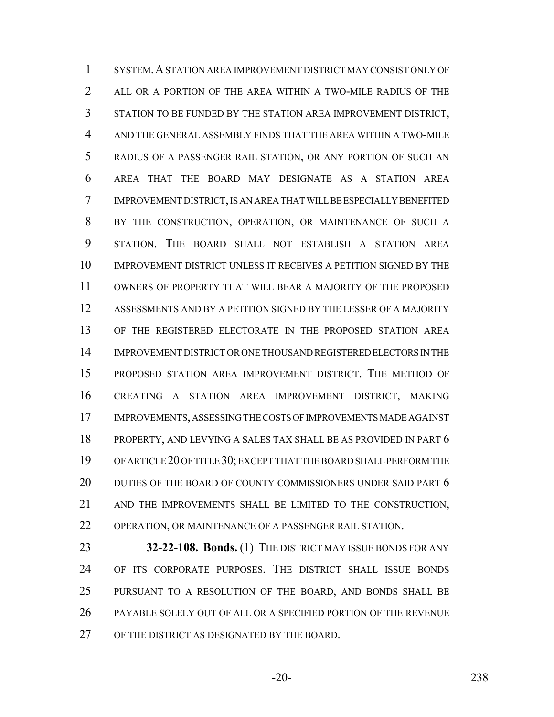SYSTEM.A STATION AREA IMPROVEMENT DISTRICT MAY CONSIST ONLY OF 2 ALL OR A PORTION OF THE AREA WITHIN A TWO-MILE RADIUS OF THE STATION TO BE FUNDED BY THE STATION AREA IMPROVEMENT DISTRICT, AND THE GENERAL ASSEMBLY FINDS THAT THE AREA WITHIN A TWO-MILE RADIUS OF A PASSENGER RAIL STATION, OR ANY PORTION OF SUCH AN AREA THAT THE BOARD MAY DESIGNATE AS A STATION AREA IMPROVEMENT DISTRICT, IS AN AREA THAT WILL BE ESPECIALLY BENEFITED BY THE CONSTRUCTION, OPERATION, OR MAINTENANCE OF SUCH A STATION. THE BOARD SHALL NOT ESTABLISH A STATION AREA IMPROVEMENT DISTRICT UNLESS IT RECEIVES A PETITION SIGNED BY THE OWNERS OF PROPERTY THAT WILL BEAR A MAJORITY OF THE PROPOSED ASSESSMENTS AND BY A PETITION SIGNED BY THE LESSER OF A MAJORITY OF THE REGISTERED ELECTORATE IN THE PROPOSED STATION AREA IMPROVEMENT DISTRICT OR ONE THOUSAND REGISTERED ELECTORS IN THE PROPOSED STATION AREA IMPROVEMENT DISTRICT. THE METHOD OF CREATING A STATION AREA IMPROVEMENT DISTRICT, MAKING IMPROVEMENTS, ASSESSING THE COSTS OF IMPROVEMENTS MADE AGAINST PROPERTY, AND LEVYING A SALES TAX SHALL BE AS PROVIDED IN PART 6 OF ARTICLE 20 OF TITLE 30; EXCEPT THAT THE BOARD SHALL PERFORM THE 20 DUTIES OF THE BOARD OF COUNTY COMMISSIONERS UNDER SAID PART 6 AND THE IMPROVEMENTS SHALL BE LIMITED TO THE CONSTRUCTION, OPERATION, OR MAINTENANCE OF A PASSENGER RAIL STATION.

**32-22-108. Bonds.** (1) THE DISTRICT MAY ISSUE BONDS FOR ANY OF ITS CORPORATE PURPOSES. THE DISTRICT SHALL ISSUE BONDS PURSUANT TO A RESOLUTION OF THE BOARD, AND BONDS SHALL BE PAYABLE SOLELY OUT OF ALL OR A SPECIFIED PORTION OF THE REVENUE OF THE DISTRICT AS DESIGNATED BY THE BOARD.

-20- 238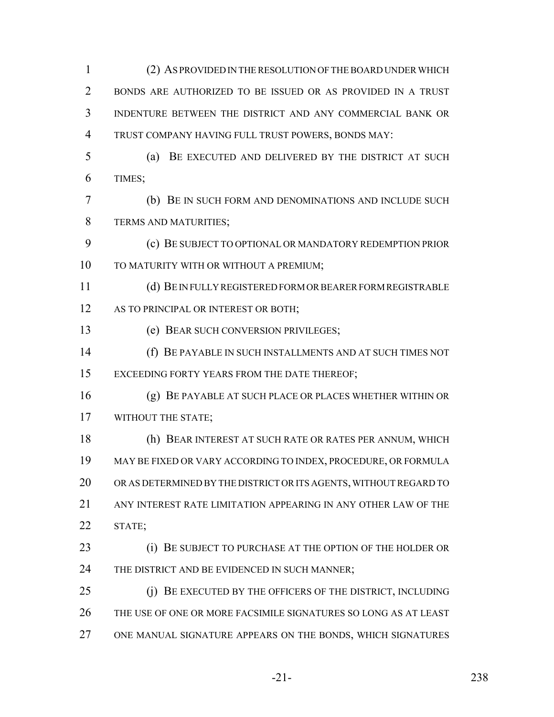| 1              | (2) AS PROVIDED IN THE RESOLUTION OF THE BOARD UNDER WHICH        |
|----------------|-------------------------------------------------------------------|
| $\overline{2}$ | BONDS ARE AUTHORIZED TO BE ISSUED OR AS PROVIDED IN A TRUST       |
| 3              | INDENTURE BETWEEN THE DISTRICT AND ANY COMMERCIAL BANK OR         |
| $\overline{4}$ | TRUST COMPANY HAVING FULL TRUST POWERS, BONDS MAY:                |
| 5              | (a)<br>BE EXECUTED AND DELIVERED BY THE DISTRICT AT SUCH          |
| 6              | TIMES;                                                            |
| 7              | (b) BE IN SUCH FORM AND DENOMINATIONS AND INCLUDE SUCH            |
| 8              | TERMS AND MATURITIES;                                             |
| 9              | (c) BE SUBJECT TO OPTIONAL OR MANDATORY REDEMPTION PRIOR          |
| 10             | TO MATURITY WITH OR WITHOUT A PREMIUM;                            |
| 11             | (d) BE INFULLY REGISTERED FORM OR BEARER FORM REGISTRABLE         |
| 12             | AS TO PRINCIPAL OR INTEREST OR BOTH;                              |
| 13             | (e) BEAR SUCH CONVERSION PRIVILEGES;                              |
| 14             | (f) BE PAYABLE IN SUCH INSTALLMENTS AND AT SUCH TIMES NOT         |
| 15             | EXCEEDING FORTY YEARS FROM THE DATE THEREOF;                      |
| 16             | (g) BE PAYABLE AT SUCH PLACE OR PLACES WHETHER WITHIN OR          |
| 17             | WITHOUT THE STATE;                                                |
| 18             | (h) BEAR INTEREST AT SUCH RATE OR RATES PER ANNUM, WHICH          |
| 19             | MAY BE FIXED OR VARY ACCORDING TO INDEX, PROCEDURE, OR FORMULA    |
| 20             | OR AS DETERMINED BY THE DISTRICT OR ITS AGENTS, WITHOUT REGARD TO |
| 21             | ANY INTEREST RATE LIMITATION APPEARING IN ANY OTHER LAW OF THE    |
| 22             | STATE;                                                            |
| 23             | BE SUBJECT TO PURCHASE AT THE OPTION OF THE HOLDER OR<br>(i)      |
| 24             | THE DISTRICT AND BE EVIDENCED IN SUCH MANNER;                     |
| 25             | BE EXECUTED BY THE OFFICERS OF THE DISTRICT, INCLUDING<br>(i)     |
| 26             | THE USE OF ONE OR MORE FACSIMILE SIGNATURES SO LONG AS AT LEAST   |
| 27             | ONE MANUAL SIGNATURE APPEARS ON THE BONDS, WHICH SIGNATURES       |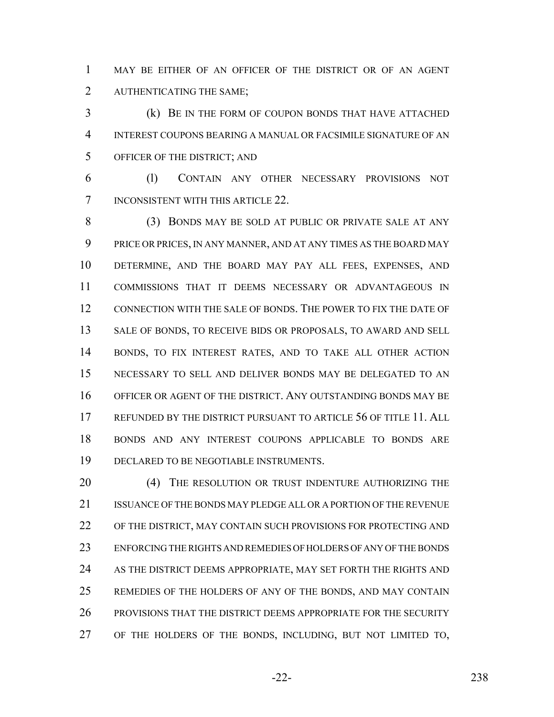MAY BE EITHER OF AN OFFICER OF THE DISTRICT OR OF AN AGENT AUTHENTICATING THE SAME;

 (k) BE IN THE FORM OF COUPON BONDS THAT HAVE ATTACHED INTEREST COUPONS BEARING A MANUAL OR FACSIMILE SIGNATURE OF AN OFFICER OF THE DISTRICT; AND

 (l) CONTAIN ANY OTHER NECESSARY PROVISIONS NOT INCONSISTENT WITH THIS ARTICLE 22.

 (3) BONDS MAY BE SOLD AT PUBLIC OR PRIVATE SALE AT ANY PRICE OR PRICES, IN ANY MANNER, AND AT ANY TIMES AS THE BOARD MAY DETERMINE, AND THE BOARD MAY PAY ALL FEES, EXPENSES, AND COMMISSIONS THAT IT DEEMS NECESSARY OR ADVANTAGEOUS IN CONNECTION WITH THE SALE OF BONDS. THE POWER TO FIX THE DATE OF 13 SALE OF BONDS, TO RECEIVE BIDS OR PROPOSALS, TO AWARD AND SELL BONDS, TO FIX INTEREST RATES, AND TO TAKE ALL OTHER ACTION NECESSARY TO SELL AND DELIVER BONDS MAY BE DELEGATED TO AN OFFICER OR AGENT OF THE DISTRICT. ANY OUTSTANDING BONDS MAY BE 17 REFUNDED BY THE DISTRICT PURSUANT TO ARTICLE 56 OF TITLE 11. ALL BONDS AND ANY INTEREST COUPONS APPLICABLE TO BONDS ARE DECLARED TO BE NEGOTIABLE INSTRUMENTS.

20 (4) THE RESOLUTION OR TRUST INDENTURE AUTHORIZING THE ISSUANCE OF THE BONDS MAY PLEDGE ALL OR A PORTION OF THE REVENUE OF THE DISTRICT, MAY CONTAIN SUCH PROVISIONS FOR PROTECTING AND ENFORCING THE RIGHTS AND REMEDIES OF HOLDERS OF ANY OF THE BONDS 24 AS THE DISTRICT DEEMS APPROPRIATE, MAY SET FORTH THE RIGHTS AND REMEDIES OF THE HOLDERS OF ANY OF THE BONDS, AND MAY CONTAIN PROVISIONS THAT THE DISTRICT DEEMS APPROPRIATE FOR THE SECURITY OF THE HOLDERS OF THE BONDS, INCLUDING, BUT NOT LIMITED TO,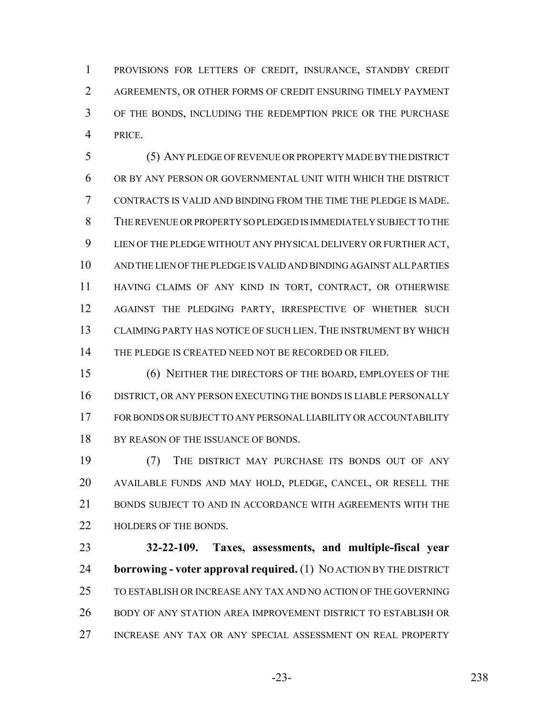PROVISIONS FOR LETTERS OF CREDIT, INSURANCE, STANDBY CREDIT AGREEMENTS, OR OTHER FORMS OF CREDIT ENSURING TIMELY PAYMENT OF THE BONDS, INCLUDING THE REDEMPTION PRICE OR THE PURCHASE PRICE.

 (5) ANY PLEDGE OF REVENUE OR PROPERTY MADE BY THE DISTRICT OR BY ANY PERSON OR GOVERNMENTAL UNIT WITH WHICH THE DISTRICT CONTRACTS IS VALID AND BINDING FROM THE TIME THE PLEDGE IS MADE. THE REVENUE OR PROPERTY SO PLEDGED IS IMMEDIATELY SUBJECT TO THE LIEN OF THE PLEDGE WITHOUT ANY PHYSICAL DELIVERY OR FURTHER ACT, AND THE LIEN OF THE PLEDGE IS VALID AND BINDING AGAINST ALL PARTIES HAVING CLAIMS OF ANY KIND IN TORT, CONTRACT, OR OTHERWISE AGAINST THE PLEDGING PARTY, IRRESPECTIVE OF WHETHER SUCH CLAIMING PARTY HAS NOTICE OF SUCH LIEN. THE INSTRUMENT BY WHICH 14 THE PLEDGE IS CREATED NEED NOT BE RECORDED OR FILED.

 (6) NEITHER THE DIRECTORS OF THE BOARD, EMPLOYEES OF THE DISTRICT, OR ANY PERSON EXECUTING THE BONDS IS LIABLE PERSONALLY FOR BONDS OR SUBJECT TO ANY PERSONAL LIABILITY OR ACCOUNTABILITY 18 BY REASON OF THE ISSUANCE OF BONDS.

 (7) THE DISTRICT MAY PURCHASE ITS BONDS OUT OF ANY AVAILABLE FUNDS AND MAY HOLD, PLEDGE, CANCEL, OR RESELL THE 21 BONDS SUBJECT TO AND IN ACCORDANCE WITH AGREEMENTS WITH THE 22 HOLDERS OF THE BONDS.

 **32-22-109. Taxes, assessments, and multiple-fiscal year borrowing - voter approval required.** (1) NO ACTION BY THE DISTRICT TO ESTABLISH OR INCREASE ANY TAX AND NO ACTION OF THE GOVERNING BODY OF ANY STATION AREA IMPROVEMENT DISTRICT TO ESTABLISH OR INCREASE ANY TAX OR ANY SPECIAL ASSESSMENT ON REAL PROPERTY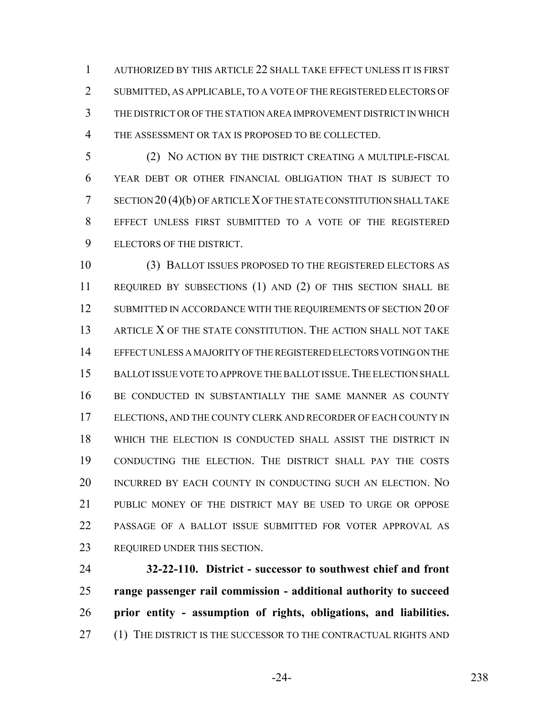AUTHORIZED BY THIS ARTICLE 22 SHALL TAKE EFFECT UNLESS IT IS FIRST SUBMITTED, AS APPLICABLE, TO A VOTE OF THE REGISTERED ELECTORS OF THE DISTRICT OR OF THE STATION AREA IMPROVEMENT DISTRICT IN WHICH THE ASSESSMENT OR TAX IS PROPOSED TO BE COLLECTED.

 (2) NO ACTION BY THE DISTRICT CREATING A MULTIPLE-FISCAL YEAR DEBT OR OTHER FINANCIAL OBLIGATION THAT IS SUBJECT TO SECTION 20 (4)(b) OF ARTICLE X OF THE STATE CONSTITUTION SHALL TAKE EFFECT UNLESS FIRST SUBMITTED TO A VOTE OF THE REGISTERED ELECTORS OF THE DISTRICT.

 (3) BALLOT ISSUES PROPOSED TO THE REGISTERED ELECTORS AS REQUIRED BY SUBSECTIONS (1) AND (2) OF THIS SECTION SHALL BE 12 SUBMITTED IN ACCORDANCE WITH THE REQUIREMENTS OF SECTION 20 OF 13 ARTICLE X OF THE STATE CONSTITUTION. THE ACTION SHALL NOT TAKE EFFECT UNLESS A MAJORITY OF THE REGISTERED ELECTORS VOTING ON THE BALLOT ISSUE VOTE TO APPROVE THE BALLOT ISSUE.THE ELECTION SHALL BE CONDUCTED IN SUBSTANTIALLY THE SAME MANNER AS COUNTY ELECTIONS, AND THE COUNTY CLERK AND RECORDER OF EACH COUNTY IN WHICH THE ELECTION IS CONDUCTED SHALL ASSIST THE DISTRICT IN CONDUCTING THE ELECTION. THE DISTRICT SHALL PAY THE COSTS INCURRED BY EACH COUNTY IN CONDUCTING SUCH AN ELECTION. NO 21 PUBLIC MONEY OF THE DISTRICT MAY BE USED TO URGE OR OPPOSE PASSAGE OF A BALLOT ISSUE SUBMITTED FOR VOTER APPROVAL AS REQUIRED UNDER THIS SECTION.

 **32-22-110. District - successor to southwest chief and front range passenger rail commission - additional authority to succeed prior entity - assumption of rights, obligations, and liabilities.** 27 (1) THE DISTRICT IS THE SUCCESSOR TO THE CONTRACTUAL RIGHTS AND

-24- 238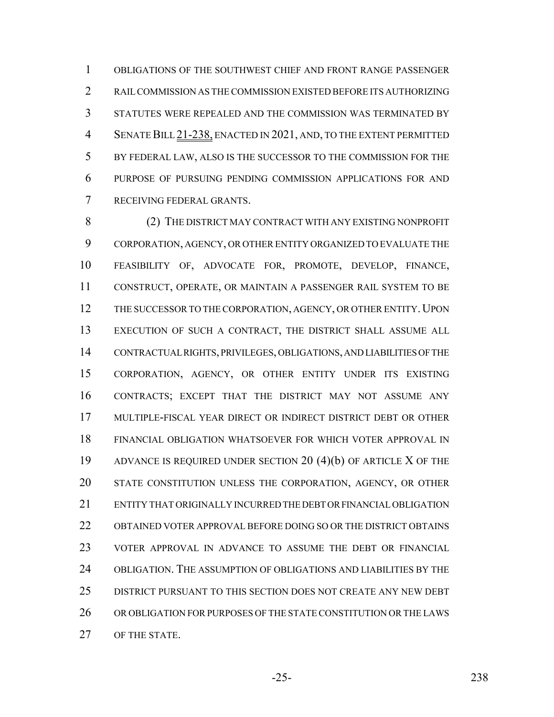OBLIGATIONS OF THE SOUTHWEST CHIEF AND FRONT RANGE PASSENGER RAIL COMMISSION AS THE COMMISSION EXISTED BEFORE ITS AUTHORIZING STATUTES WERE REPEALED AND THE COMMISSION WAS TERMINATED BY SENATE BILL 21-238, ENACTED IN 2021, AND, TO THE EXTENT PERMITTED BY FEDERAL LAW, ALSO IS THE SUCCESSOR TO THE COMMISSION FOR THE PURPOSE OF PURSUING PENDING COMMISSION APPLICATIONS FOR AND RECEIVING FEDERAL GRANTS.

 (2) THE DISTRICT MAY CONTRACT WITH ANY EXISTING NONPROFIT CORPORATION, AGENCY, OR OTHER ENTITY ORGANIZED TO EVALUATE THE FEASIBILITY OF, ADVOCATE FOR, PROMOTE, DEVELOP, FINANCE, CONSTRUCT, OPERATE, OR MAINTAIN A PASSENGER RAIL SYSTEM TO BE 12 THE SUCCESSOR TO THE CORPORATION, AGENCY, OR OTHER ENTITY. UPON EXECUTION OF SUCH A CONTRACT, THE DISTRICT SHALL ASSUME ALL CONTRACTUAL RIGHTS, PRIVILEGES, OBLIGATIONS, AND LIABILITIES OF THE CORPORATION, AGENCY, OR OTHER ENTITY UNDER ITS EXISTING CONTRACTS; EXCEPT THAT THE DISTRICT MAY NOT ASSUME ANY MULTIPLE-FISCAL YEAR DIRECT OR INDIRECT DISTRICT DEBT OR OTHER FINANCIAL OBLIGATION WHATSOEVER FOR WHICH VOTER APPROVAL IN ADVANCE IS REQUIRED UNDER SECTION 20 (4)(b) OF ARTICLE X OF THE STATE CONSTITUTION UNLESS THE CORPORATION, AGENCY, OR OTHER ENTITY THAT ORIGINALLY INCURRED THE DEBT OR FINANCIAL OBLIGATION OBTAINED VOTER APPROVAL BEFORE DOING SO OR THE DISTRICT OBTAINS VOTER APPROVAL IN ADVANCE TO ASSUME THE DEBT OR FINANCIAL OBLIGATION. THE ASSUMPTION OF OBLIGATIONS AND LIABILITIES BY THE DISTRICT PURSUANT TO THIS SECTION DOES NOT CREATE ANY NEW DEBT OR OBLIGATION FOR PURPOSES OF THE STATE CONSTITUTION OR THE LAWS OF THE STATE.

-25- 238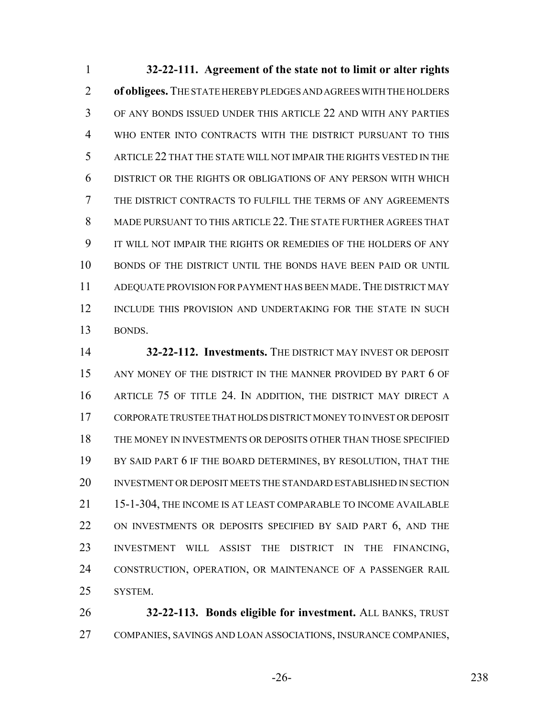**32-22-111. Agreement of the state not to limit or alter rights of obligees.** THE STATE HEREBY PLEDGES AND AGREES WITH THE HOLDERS OF ANY BONDS ISSUED UNDER THIS ARTICLE 22 AND WITH ANY PARTIES WHO ENTER INTO CONTRACTS WITH THE DISTRICT PURSUANT TO THIS ARTICLE 22 THAT THE STATE WILL NOT IMPAIR THE RIGHTS VESTED IN THE DISTRICT OR THE RIGHTS OR OBLIGATIONS OF ANY PERSON WITH WHICH THE DISTRICT CONTRACTS TO FULFILL THE TERMS OF ANY AGREEMENTS MADE PURSUANT TO THIS ARTICLE 22. THE STATE FURTHER AGREES THAT IT WILL NOT IMPAIR THE RIGHTS OR REMEDIES OF THE HOLDERS OF ANY BONDS OF THE DISTRICT UNTIL THE BONDS HAVE BEEN PAID OR UNTIL ADEQUATE PROVISION FOR PAYMENT HAS BEEN MADE.THE DISTRICT MAY INCLUDE THIS PROVISION AND UNDERTAKING FOR THE STATE IN SUCH BONDS.

 **32-22-112. Investments.** THE DISTRICT MAY INVEST OR DEPOSIT 15 ANY MONEY OF THE DISTRICT IN THE MANNER PROVIDED BY PART 6 OF ARTICLE 75 OF TITLE 24. IN ADDITION, THE DISTRICT MAY DIRECT A CORPORATE TRUSTEE THAT HOLDS DISTRICT MONEY TO INVEST OR DEPOSIT THE MONEY IN INVESTMENTS OR DEPOSITS OTHER THAN THOSE SPECIFIED 19 BY SAID PART 6 IF THE BOARD DETERMINES, BY RESOLUTION, THAT THE INVESTMENT OR DEPOSIT MEETS THE STANDARD ESTABLISHED IN SECTION 15-1-304, THE INCOME IS AT LEAST COMPARABLE TO INCOME AVAILABLE 22 ON INVESTMENTS OR DEPOSITS SPECIFIED BY SAID PART 6, AND THE INVESTMENT WILL ASSIST THE DISTRICT IN THE FINANCING, CONSTRUCTION, OPERATION, OR MAINTENANCE OF A PASSENGER RAIL SYSTEM.

 **32-22-113. Bonds eligible for investment.** ALL BANKS, TRUST COMPANIES, SAVINGS AND LOAN ASSOCIATIONS, INSURANCE COMPANIES,

-26- 238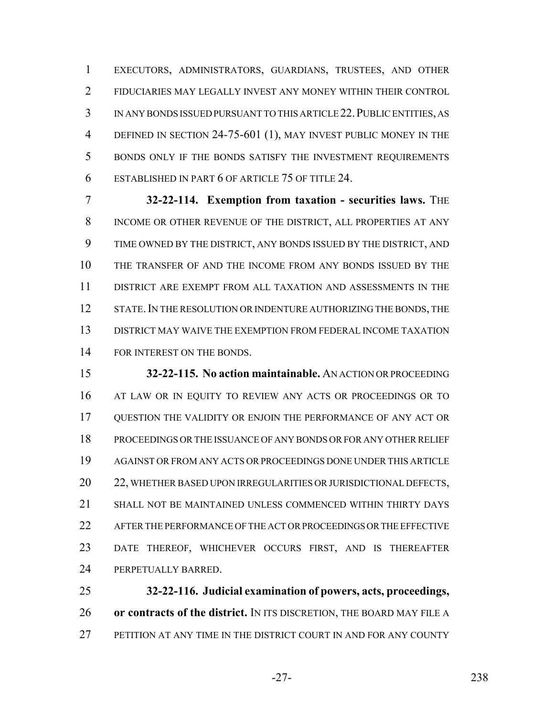EXECUTORS, ADMINISTRATORS, GUARDIANS, TRUSTEES, AND OTHER FIDUCIARIES MAY LEGALLY INVEST ANY MONEY WITHIN THEIR CONTROL IN ANY BONDS ISSUED PURSUANT TO THIS ARTICLE 22.PUBLIC ENTITIES, AS 4 DEFINED IN SECTION 24-75-601 (1), MAY INVEST PUBLIC MONEY IN THE BONDS ONLY IF THE BONDS SATISFY THE INVESTMENT REQUIREMENTS ESTABLISHED IN PART 6 OF ARTICLE 75 OF TITLE 24.

 **32-22-114. Exemption from taxation - securities laws.** THE INCOME OR OTHER REVENUE OF THE DISTRICT, ALL PROPERTIES AT ANY TIME OWNED BY THE DISTRICT, ANY BONDS ISSUED BY THE DISTRICT, AND THE TRANSFER OF AND THE INCOME FROM ANY BONDS ISSUED BY THE DISTRICT ARE EXEMPT FROM ALL TAXATION AND ASSESSMENTS IN THE 12 STATE. IN THE RESOLUTION OR INDENTURE AUTHORIZING THE BONDS, THE DISTRICT MAY WAIVE THE EXEMPTION FROM FEDERAL INCOME TAXATION 14 FOR INTEREST ON THE BONDS.

 **32-22-115. No action maintainable.** AN ACTION OR PROCEEDING 16 AT LAW OR IN EQUITY TO REVIEW ANY ACTS OR PROCEEDINGS OR TO QUESTION THE VALIDITY OR ENJOIN THE PERFORMANCE OF ANY ACT OR PROCEEDINGS OR THE ISSUANCE OF ANY BONDS OR FOR ANY OTHER RELIEF AGAINST OR FROM ANY ACTS OR PROCEEDINGS DONE UNDER THIS ARTICLE 20 22, WHETHER BASED UPON IRREGULARITIES OR JURISDICTIONAL DEFECTS, SHALL NOT BE MAINTAINED UNLESS COMMENCED WITHIN THIRTY DAYS AFTER THE PERFORMANCE OF THE ACT OR PROCEEDINGS OR THE EFFECTIVE DATE THEREOF, WHICHEVER OCCURS FIRST, AND IS THEREAFTER PERPETUALLY BARRED.

 **32-22-116. Judicial examination of powers, acts, proceedings, or contracts of the district.** IN ITS DISCRETION, THE BOARD MAY FILE A PETITION AT ANY TIME IN THE DISTRICT COURT IN AND FOR ANY COUNTY

-27- 238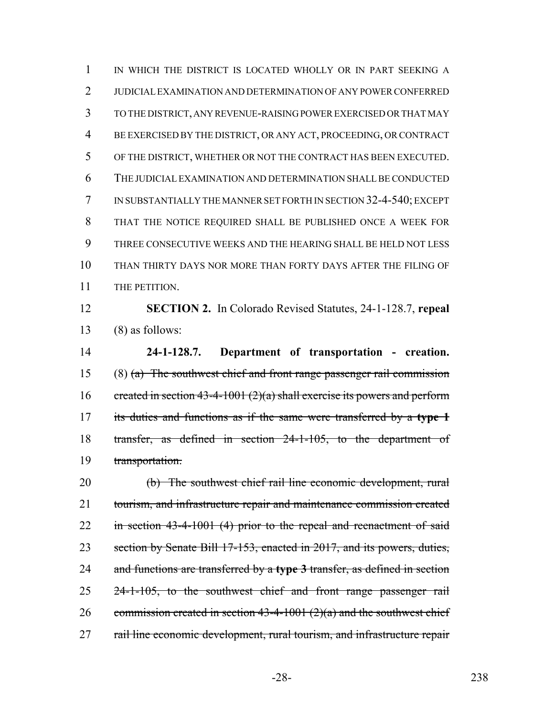IN WHICH THE DISTRICT IS LOCATED WHOLLY OR IN PART SEEKING A JUDICIAL EXAMINATION AND DETERMINATION OF ANY POWER CONFERRED TO THE DISTRICT, ANY REVENUE-RAISING POWER EXERCISED OR THAT MAY BE EXERCISED BY THE DISTRICT, OR ANY ACT, PROCEEDING, OR CONTRACT OF THE DISTRICT, WHETHER OR NOT THE CONTRACT HAS BEEN EXECUTED. THE JUDICIAL EXAMINATION AND DETERMINATION SHALL BE CONDUCTED IN SUBSTANTIALLY THE MANNER SET FORTH IN SECTION 32-4-540; EXCEPT THAT THE NOTICE REQUIRED SHALL BE PUBLISHED ONCE A WEEK FOR THREE CONSECUTIVE WEEKS AND THE HEARING SHALL BE HELD NOT LESS THAN THIRTY DAYS NOR MORE THAN FORTY DAYS AFTER THE FILING OF 11 THE PETITION.

 **SECTION 2.** In Colorado Revised Statutes, 24-1-128.7, **repeal** (8) as follows:

 **24-1-128.7. Department of transportation - creation.** (8) (a) The southwest chief and front range passenger rail commission 16 created in section 43-4-1001 (2)(a) shall exercise its powers and perform its duties and functions as if the same were transferred by a **type 1** transfer, as defined in section 24-1-105, to the department of transportation.

 (b) The southwest chief rail line economic development, rural tourism, and infrastructure repair and maintenance commission created in section 43-4-1001 (4) prior to the repeal and reenactment of said 23 section by Senate Bill 17-153, enacted in 2017, and its powers, duties, and functions are transferred by a **type 3** transfer, as defined in section 24-1-105, to the southwest chief and front range passenger rail 26 commission created in section  $43-4-1001$   $(2)(a)$  and the southwest chief 27 rail line economic development, rural tourism, and infrastructure repair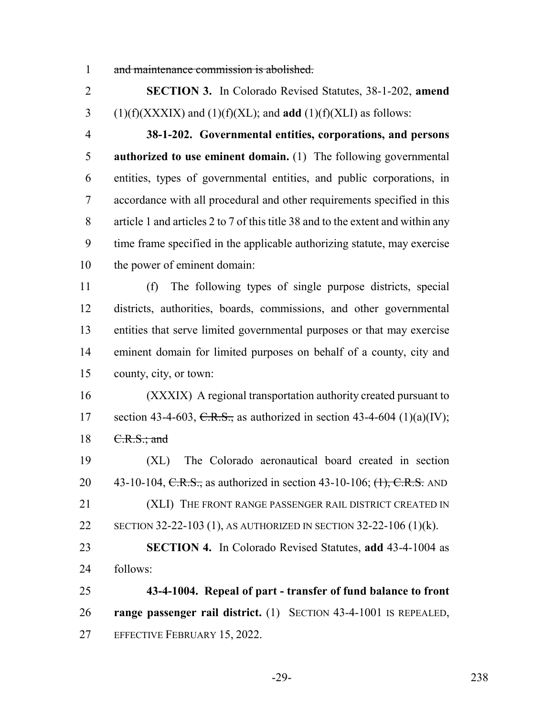and maintenance commission is abolished.

 **SECTION 3.** In Colorado Revised Statutes, 38-1-202, **amend** 3 (1)(f)(XXXIX) and (1)(f)(XL); and **add** (1)(f)(XLI) as follows:

 **38-1-202. Governmental entities, corporations, and persons authorized to use eminent domain.** (1) The following governmental entities, types of governmental entities, and public corporations, in accordance with all procedural and other requirements specified in this article 1 and articles 2 to 7 of this title 38 and to the extent and within any time frame specified in the applicable authorizing statute, may exercise the power of eminent domain:

 (f) The following types of single purpose districts, special districts, authorities, boards, commissions, and other governmental entities that serve limited governmental purposes or that may exercise eminent domain for limited purposes on behalf of a county, city and county, city, or town:

 (XXXIX) A regional transportation authority created pursuant to 17 section 43-4-603, C.R.S., as authorized in section 43-4-604 (1)(a)(IV); 18 <del>C.R.S.; and</del>

 (XL) The Colorado aeronautical board created in section 20 43-10-104, C.R.S., as authorized in section 43-10-106;  $(1)$ , C.R.S. AND 21 (XLI) THE FRONT RANGE PASSENGER RAIL DISTRICT CREATED IN SECTION 32-22-103 (1), AS AUTHORIZED IN SECTION 32-22-106 (1)(k).

 **SECTION 4.** In Colorado Revised Statutes, **add** 43-4-1004 as follows:

 **43-4-1004. Repeal of part - transfer of fund balance to front range passenger rail district.** (1) SECTION 43-4-1001 IS REPEALED, EFFECTIVE FEBRUARY 15, 2022.

-29- 238